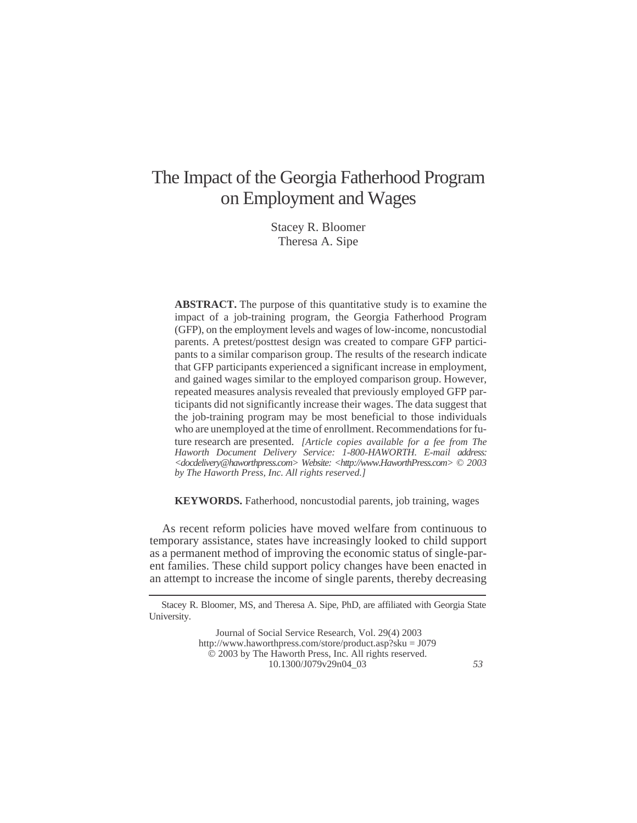# The Impact of the Georgia Fatherhood Program on Employment and Wages

Stacey R. Bloomer Theresa A. Sipe

**ABSTRACT.** The purpose of this quantitative study is to examine the impact of a job-training program, the Georgia Fatherhood Program (GFP), on the employment levels and wages of low-income, noncustodial parents. A pretest/posttest design was created to compare GFP participants to a similar comparison group. The results of the research indicate that GFP participants experienced a significant increase in employment, and gained wages similar to the employed comparison group. However, repeated measures analysis revealed that previously employed GFP participants did not significantly increase their wages. The data suggest that the job-training program may be most beneficial to those individuals who are unemployed at the time of enrollment. Recommendations for future research are presented. *[Article copies available for a fee from The Haworth Document Delivery Service: 1-800-HAWORTH. E-mail address: <docdelivery@haworthpress.com> Website: [<http://www.HaworthPress.com>](http://www.HaworthPress.com) © 2003 by The Haworth Press, Inc. All rights reserved.]*

**KEYWORDS.** Fatherhood, noncustodial parents, job training, wages

As recent reform policies have moved welfare from continuous to temporary assistance, states have increasingly looked to child support as a permanent method of improving the economic status of single-parent families. These child support policy changes have been enacted in an attempt to increase the income of single parents, thereby decreasing

Stacey R. Bloomer, MS, and Theresa A. Sipe, PhD, are affiliated with Georgia State University.

Journal of Social Service Research, Vol. 29(4) 2003 <http://www.haworthpress.com/store/product.asp?sku> = J079 2003 by The Haworth Press, Inc. All rights reserved. 10.1300/J079v29n04\_03 *53*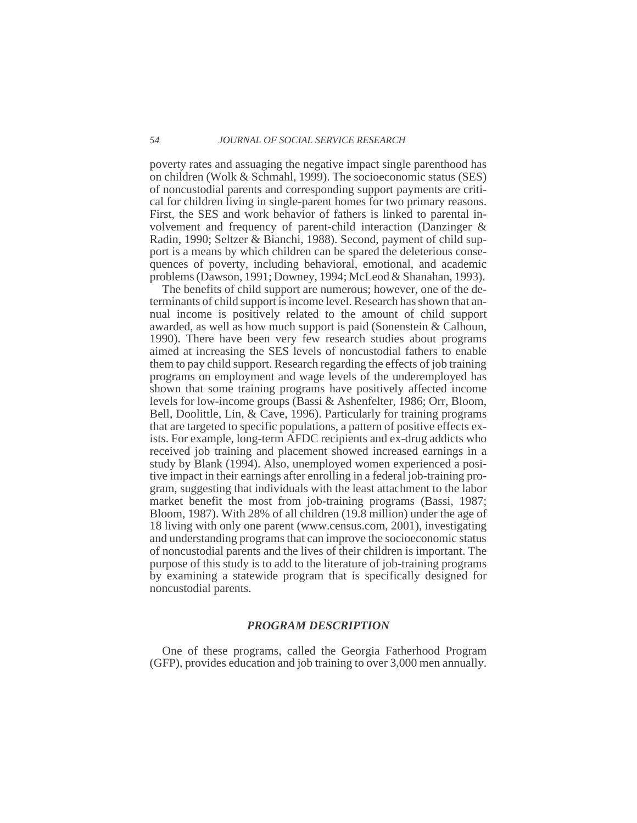poverty rates and assuaging the negative impact single parenthood has on children (Wolk & Schmahl, 1999). The socioeconomic status (SES) of noncustodial parents and corresponding support payments are critical for children living in single-parent homes for two primary reasons. First, the SES and work behavior of fathers is linked to parental involvement and frequency of parent-child interaction (Danzinger & Radin, 1990; Seltzer & Bianchi, 1988). Second, payment of child support is a means by which children can be spared the deleterious consequences of poverty, including behavioral, emotional, and academic problems (Dawson, 1991; Downey, 1994; McLeod & Shanahan, 1993).

The benefits of child support are numerous; however, one of the determinants of child support is income level. Research has shown that annual income is positively related to the amount of child support awarded, as well as how much support is paid (Sonenstein & Calhoun, 1990). There have been very few research studies about programs aimed at increasing the SES levels of noncustodial fathers to enable them to pay child support. Research regarding the effects of job training programs on employment and wage levels of the underemployed has shown that some training programs have positively affected income levels for low-income groups (Bassi & Ashenfelter, 1986; Orr, Bloom, Bell, Doolittle, Lin, & Cave, 1996). Particularly for training programs that are targeted to specific populations, a pattern of positive effects exists. For example, long-term AFDC recipients and ex-drug addicts who received job training and placement showed increased earnings in a study by Blank (1994). Also, unemployed women experienced a positive impact in their earnings after enrolling in a federal job-training program, suggesting that individuals with the least attachment to the labor market benefit the most from job-training programs (Bassi, 1987; Bloom, 1987). With 28% of all children (19.8 million) under the age of 18 living with only one parent (www.census.com, 2001), investigating and understanding programs that can improve the socioeconomic status of noncustodial parents and the lives of their children is important. The purpose of this study is to add to the literature of job-training programs by examining a statewide program that is specifically designed for noncustodial parents.

# *PROGRAM DESCRIPTION*

One of these programs, called the Georgia Fatherhood Program (GFP), provides education and job training to over 3,000 men annually.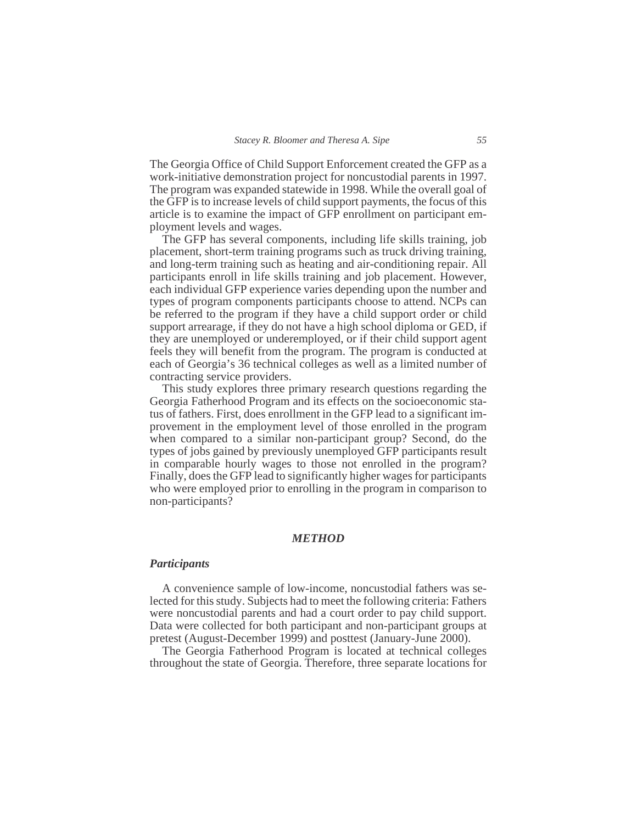The Georgia Office of Child Support Enforcement created the GFP as a work-initiative demonstration project for noncustodial parents in 1997. The program was expanded statewide in 1998. While the overall goal of the GFP is to increase levels of child support payments, the focus of this article is to examine the impact of GFP enrollment on participant employment levels and wages.

The GFP has several components, including life skills training, job placement, short-term training programs such as truck driving training, and long-term training such as heating and air-conditioning repair. All participants enroll in life skills training and job placement. However, each individual GFP experience varies depending upon the number and types of program components participants choose to attend. NCPs can be referred to the program if they have a child support order or child support arrearage, if they do not have a high school diploma or GED, if they are unemployed or underemployed, or if their child support agent feels they will benefit from the program. The program is conducted at each of Georgia's 36 technical colleges as well as a limited number of contracting service providers.

This study explores three primary research questions regarding the Georgia Fatherhood Program and its effects on the socioeconomic status of fathers. First, does enrollment in the GFP lead to a significant improvement in the employment level of those enrolled in the program when compared to a similar non-participant group? Second, do the types of jobs gained by previously unemployed GFP participants result in comparable hourly wages to those not enrolled in the program? Finally, does the GFP lead to significantly higher wages for participants who were employed prior to enrolling in the program in comparison to non-participants?

# *METHOD*

#### *Participants*

A convenience sample of low-income, noncustodial fathers was selected for this study. Subjects had to meet the following criteria: Fathers were noncustodial parents and had a court order to pay child support. Data were collected for both participant and non-participant groups at pretest (August-December 1999) and posttest (January-June 2000).

The Georgia Fatherhood Program is located at technical colleges throughout the state of Georgia. Therefore, three separate locations for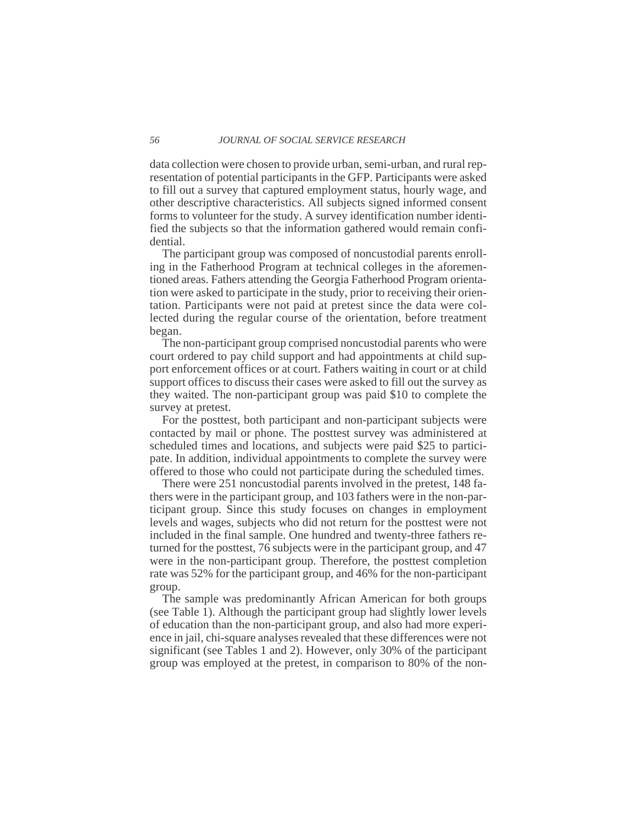data collection were chosen to provide urban, semi-urban, and rural representation of potential participants in the GFP. Participants were asked to fill out a survey that captured employment status, hourly wage, and other descriptive characteristics. All subjects signed informed consent forms to volunteer for the study. A survey identification number identified the subjects so that the information gathered would remain confidential.

The participant group was composed of noncustodial parents enrolling in the Fatherhood Program at technical colleges in the aforementioned areas. Fathers attending the Georgia Fatherhood Program orientation were asked to participate in the study, prior to receiving their orientation. Participants were not paid at pretest since the data were collected during the regular course of the orientation, before treatment began.

The non-participant group comprised noncustodial parents who were court ordered to pay child support and had appointments at child support enforcement offices or at court. Fathers waiting in court or at child support offices to discuss their cases were asked to fill out the survey as they waited. The non-participant group was paid \$10 to complete the survey at pretest.

For the posttest, both participant and non-participant subjects were contacted by mail or phone. The posttest survey was administered at scheduled times and locations, and subjects were paid \$25 to participate. In addition, individual appointments to complete the survey were offered to those who could not participate during the scheduled times.

There were 251 noncustodial parents involved in the pretest, 148 fathers were in the participant group, and 103 fathers were in the non-participant group. Since this study focuses on changes in employment levels and wages, subjects who did not return for the posttest were not included in the final sample. One hundred and twenty-three fathers returned for the posttest, 76 subjects were in the participant group, and 47 were in the non-participant group. Therefore, the posttest completion rate was 52% for the participant group, and 46% for the non-participant group.

The sample was predominantly African American for both groups (see Table 1). Although the participant group had slightly lower levels of education than the non-participant group, and also had more experience in jail, chi-square analyses revealed that these differences were not significant (see Tables 1 and 2). However, only 30% of the participant group was employed at the pretest, in comparison to 80% of the non-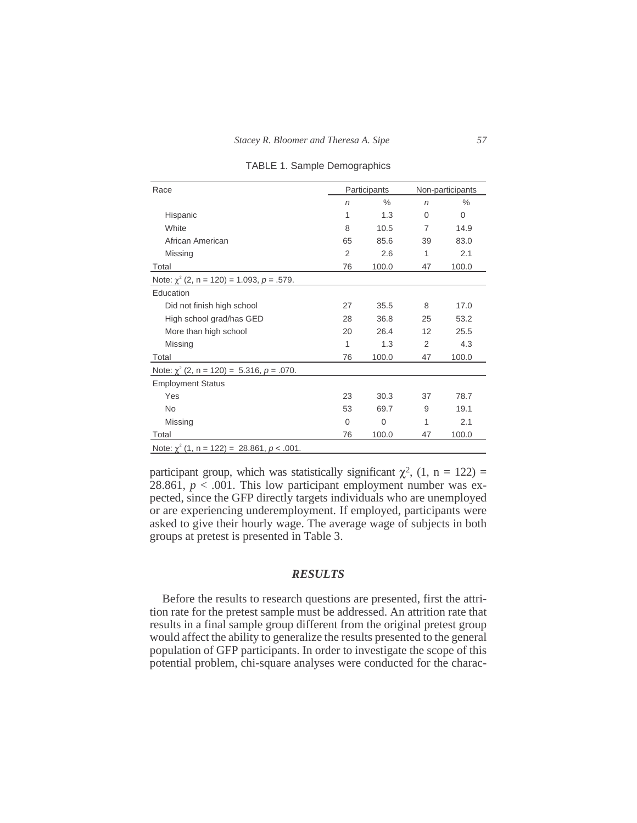| Race                                            |                | Participants |                | Non-participants |
|-------------------------------------------------|----------------|--------------|----------------|------------------|
|                                                 | $\sqrt{n}$     | $\%$         | $\sqrt{n}$     | $\frac{0}{0}$    |
| Hispanic                                        | 1              | 1.3          | $\Omega$       | $\Omega$         |
| White                                           | 8              | 10.5         | $\overline{7}$ | 14.9             |
| African American                                | 65             | 85.6         | 39             | 83.0             |
| Missing                                         | $\overline{2}$ | 2.6          | 1              | 2.1              |
| Total                                           | 76             | 100.0        | 47             | 100.0            |
| Note: $\chi^2$ (2, n = 120) = 1.093, p = .579.  |                |              |                |                  |
| Education                                       |                |              |                |                  |
| Did not finish high school                      | 27             | 35.5         | 8              | 17.0             |
| High school grad/has GED                        | 28             | 36.8         | 25             | 53.2             |
| More than high school                           | 20             | 26.4         | 12             | 25.5             |
| Missing                                         | 1              | 1.3          | $\mathcal{P}$  | 4.3              |
| Total                                           | 76             | 100.0        | 47             | 100.0            |
| Note: $\chi^2$ (2, n = 120) = 5.316, p = .070.  |                |              |                |                  |
| <b>Employment Status</b>                        |                |              |                |                  |
| Yes                                             | 23             | 30.3         | 37             | 78.7             |
| <b>No</b>                                       | 53             | 69.7         | 9              | 19.1             |
| Missing                                         | 0              | 0            | 1              | 2.1              |
| Total                                           | 76             | 100.0        | 47             | 100.0            |
| Note: $\chi^2$ (1, n = 122) = 28.861, p < .001. |                |              |                |                  |

TABLE 1. Sample Demographics

participant group, which was statistically significant  $\chi^2$ , (1, n = 122) = 28.861,  $p < .001$ . This low participant employment number was expected, since the GFP directly targets individuals who are unemployed or are experiencing underemployment. If employed, participants were asked to give their hourly wage. The average wage of subjects in both groups at pretest is presented in Table 3.

# *RESULTS*

Before the results to research questions are presented, first the attrition rate for the pretest sample must be addressed. An attrition rate that results in a final sample group different from the original pretest group would affect the ability to generalize the results presented to the general population of GFP participants. In order to investigate the scope of this potential problem, chi-square analyses were conducted for the charac-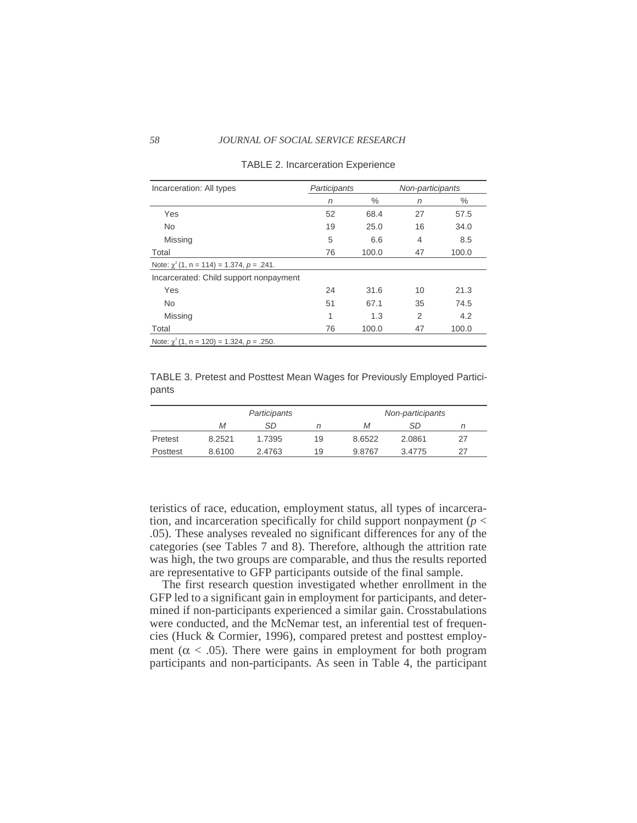#### *58 JOURNAL OF SOCIAL SERVICE RESEARCH*

| Incarceration: All types                       | Participants |       | Non-participants |       |
|------------------------------------------------|--------------|-------|------------------|-------|
|                                                | n            | $\%$  | n                | ℅     |
| Yes                                            | 52           | 68.4  | 27               | 57.5  |
| <b>No</b>                                      | 19           | 25.0  | 16               | 34.0  |
| Missing                                        | 5            | 6.6   | 4                | 8.5   |
| Total                                          | 76           | 100.0 | 47               | 100.0 |
| Note: $\chi^2$ (1, n = 114) = 1.374, p = .241. |              |       |                  |       |
| Incarcerated: Child support nonpayment         |              |       |                  |       |
| Yes                                            | 24           | 31.6  | 10               | 21.3  |
| <b>No</b>                                      | 51           | 67.1  | 35               | 74.5  |
| Missing                                        | 1            | 1.3   | 2                | 4.2   |
| Total                                          | 76           | 100.0 | 47               | 100.0 |
| Note: $\chi^2$ (1, n = 120) = 1.324, p = .250. |              |       |                  |       |

#### TABLE 2. Incarceration Experience

TABLE 3. Pretest and Posttest Mean Wages for Previously Employed Participants

|          |        | Participants |    |        | Non-participants |    |
|----------|--------|--------------|----|--------|------------------|----|
|          | Μ      | <b>SD</b>    |    | Μ      | SD.              |    |
| Pretest  | 8.2521 | 1.7395       | 19 | 8.6522 | 2.0861           | 27 |
| Posttest | 8.6100 | 2.4763       | 19 | 9.8767 | 3.4775           | 27 |

teristics of race, education, employment status, all types of incarceration, and incarceration specifically for child support nonpayment ( $p <$ .05). These analyses revealed no significant differences for any of the categories (see Tables 7 and 8). Therefore, although the attrition rate was high, the two groups are comparable, and thus the results reported are representative to GFP participants outside of the final sample.

The first research question investigated whether enrollment in the GFP led to a significant gain in employment for participants, and determined if non-participants experienced a similar gain. Crosstabulations were conducted, and the McNemar test, an inferential test of frequencies (Huck & Cormier, 1996), compared pretest and posttest employment ( $\alpha$  < .05). There were gains in employment for both program participants and non-participants. As seen in Table 4, the participant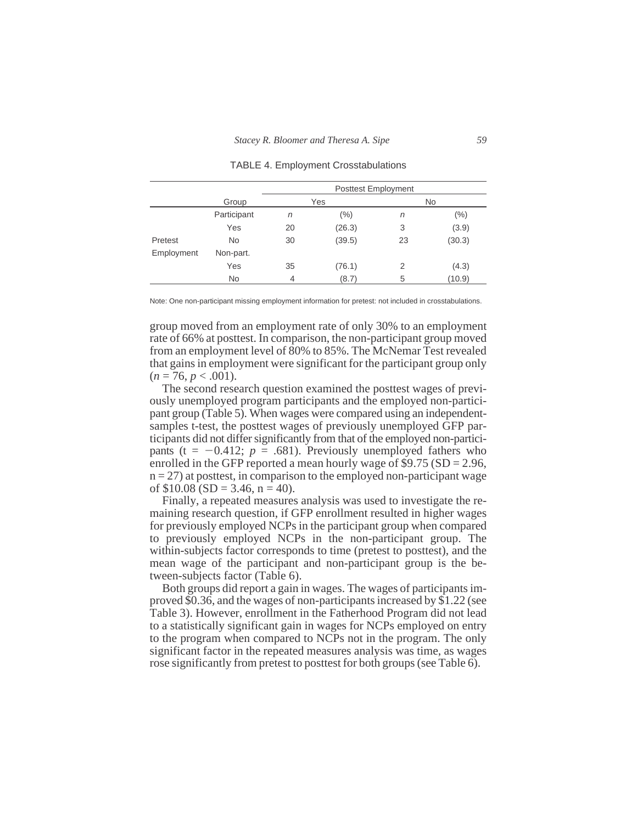|            |             |                | <b>Posttest Employment</b> |    |           |
|------------|-------------|----------------|----------------------------|----|-----------|
|            | Group       |                | Yes                        |    | <b>No</b> |
|            | Participant | n              | $(\% )$                    | n  | $(\% )$   |
|            | Yes         | 20             | (26.3)                     | 3  | (3.9)     |
| Pretest    | <b>No</b>   | 30             | (39.5)                     | 23 | (30.3)    |
| Employment | Non-part.   |                |                            |    |           |
|            | Yes         | 35             | (76.1)                     | 2  | (4.3)     |
|            | <b>No</b>   | $\overline{4}$ | (8.7)                      | 5  | (10.9)    |

#### TABLE 4. Employment Crosstabulations

Note: One non-participant missing employment information for pretest: not included in crosstabulations.

group moved from an employment rate of only 30% to an employment rate of 66% at posttest. In comparison, the non-participant group moved from an employment level of 80% to 85%. The McNemar Test revealed that gains in employment were significant for the participant group only  $(n = 76, p < .001)$ .

The second research question examined the posttest wages of previously unemployed program participants and the employed non-participant group (Table 5). When wages were compared using an independentsamples t-test, the posttest wages of previously unemployed GFP participants did not differ significantly from that of the employed non-participants ( $t = -0.412$ ;  $p = .681$ ). Previously unemployed fathers who enrolled in the GFP reported a mean hourly wage of  $$9.75$  (SD = 2.96,  $n = 27$ ) at posttest, in comparison to the employed non-participant wage of  $$10.08$  (SD = 3.46, n = 40).

Finally, a repeated measures analysis was used to investigate the remaining research question, if GFP enrollment resulted in higher wages for previously employed NCPs in the participant group when compared to previously employed NCPs in the non-participant group. The within-subjects factor corresponds to time (pretest to posttest), and the mean wage of the participant and non-participant group is the between-subjects factor (Table 6).

Both groups did report a gain in wages. The wages of participants improved \$0.36, and the wages of non-participants increased by \$1.22 (see Table 3). However, enrollment in the Fatherhood Program did not lead to a statistically significant gain in wages for NCPs employed on entry to the program when compared to NCPs not in the program. The only significant factor in the repeated measures analysis was time, as wages rose significantly from pretest to posttest for both groups (see Table 6).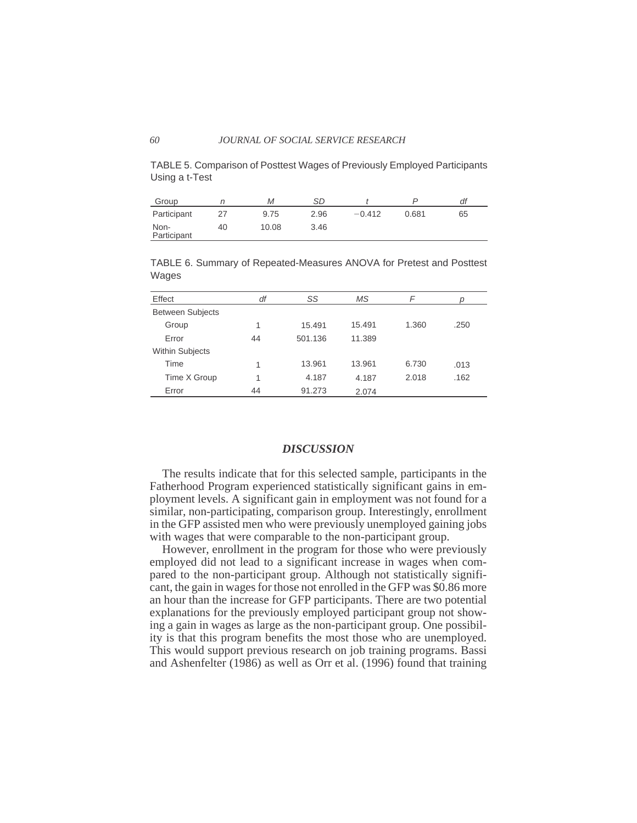TABLE 5. Comparison of Posttest Wages of Previously Employed Participants Using a t-Test

| Group               |    | М     | SD   |          |       | df |
|---------------------|----|-------|------|----------|-------|----|
| Participant         |    | 9.75  | 2.96 | $-0.412$ | 0.681 | 65 |
| Non-<br>Participant | 40 | 10.08 | 3.46 |          |       |    |

TABLE 6. Summary of Repeated-Measures ANOVA for Pretest and Posttest Wages

| Effect                  | df | SS      | MS     | F     |      |
|-------------------------|----|---------|--------|-------|------|
| <b>Between Subjects</b> |    |         |        |       |      |
| Group                   | 1  | 15.491  | 15.491 | 1.360 | .250 |
| Error                   | 44 | 501.136 | 11.389 |       |      |
| <b>Within Subjects</b>  |    |         |        |       |      |
| Time                    | 1  | 13.961  | 13.961 | 6.730 | .013 |
| Time X Group            | 1  | 4.187   | 4.187  | 2.018 | .162 |
| Error                   | 44 | 91.273  | 2.074  |       |      |

### *DISCUSSION*

The results indicate that for this selected sample, participants in the Fatherhood Program experienced statistically significant gains in employment levels. A significant gain in employment was not found for a similar, non-participating, comparison group. Interestingly, enrollment in the GFP assisted men who were previously unemployed gaining jobs with wages that were comparable to the non-participant group.

However, enrollment in the program for those who were previously employed did not lead to a significant increase in wages when compared to the non-participant group. Although not statistically significant, the gain in wages for those not enrolled in the GFP was \$0.86 more an hour than the increase for GFP participants. There are two potential explanations for the previously employed participant group not showing a gain in wages as large as the non-participant group. One possibility is that this program benefits the most those who are unemployed. This would support previous research on job training programs. Bassi and Ashenfelter (1986) as well as Orr et al. (1996) found that training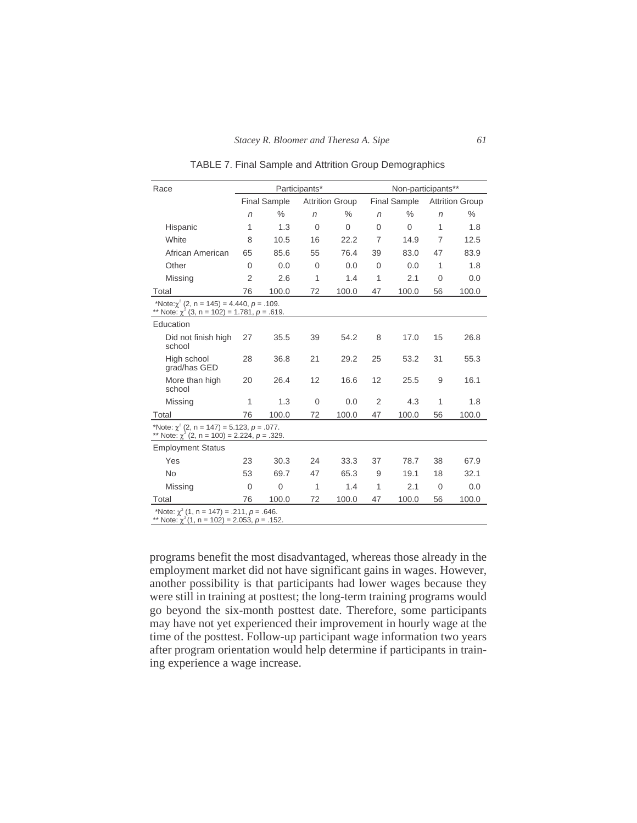TABLE 7. Final Sample and Attrition Group Demographics

| Race                                                                                                   |                |                     | Participants*  |                        |                | Non-participants**  |                |                        |
|--------------------------------------------------------------------------------------------------------|----------------|---------------------|----------------|------------------------|----------------|---------------------|----------------|------------------------|
|                                                                                                        |                | <b>Final Sample</b> |                | <b>Attrition Group</b> |                | <b>Final Sample</b> |                | <b>Attrition Group</b> |
|                                                                                                        | $\sqrt{n}$     | $\%$                | $\sqrt{n}$     | $\frac{0}{0}$          | n              | $\%$                | $\sqrt{n}$     | $\%$                   |
| Hispanic                                                                                               | 1              | 1.3                 | $\overline{0}$ | $\Omega$               | 0              | 0                   | 1              | 1.8                    |
| White                                                                                                  | 8              | 10.5                | 16             | 22.2                   | $\overline{7}$ | 14.9                | $\overline{7}$ | 12.5                   |
| African American                                                                                       | 65             | 85.6                | 55             | 76.4                   | 39             | 83.0                | 47             | 83.9                   |
| Other                                                                                                  | $\Omega$       | 0.0                 | $\mathbf{0}$   | 0.0                    | $\overline{0}$ | 0.0                 | 1              | 1.8                    |
| Missing                                                                                                | $\overline{2}$ | 2.6                 | 1              | 1.4                    | 1              | 2.1                 | $\mathbf{0}$   | 0.0                    |
| Total                                                                                                  | 76             | 100.0               | 72             | 100.0                  | 47             | 100.0               | 56             | 100.0                  |
| *Note: $\gamma^2$ (2, n = 145) = 4.440, p = .109.<br>** Note: $\chi^2$ (3, n = 102) = 1.781, p = .619. |                |                     |                |                        |                |                     |                |                        |
| Education                                                                                              |                |                     |                |                        |                |                     |                |                        |
| Did not finish high<br>school                                                                          | 27             | 35.5                | 39             | 54.2                   | 8              | 17.0                | 15             | 26.8                   |
| High school<br>grad/has GED                                                                            | 28             | 36.8                | 21             | 29.2                   | 25             | 53.2                | 31             | 55.3                   |
| More than high<br>school                                                                               | 20             | 26.4                | 12             | 16.6                   | 12             | 25.5                | 9              | 16.1                   |
| Missing                                                                                                | 1              | 1.3                 | $\overline{0}$ | 0.0                    | 2              | 4.3                 | 1              | 1.8                    |
| Total                                                                                                  | 76             | 100.0               | 72             | 100.0                  | 47             | 100.0               | 56             | 100.0                  |
| *Note: $\chi^2$ (2, n = 147) = 5.123, p = .077.<br>** Note: $\chi^2$ (2, n = 100) = 2.224, p = .329.   |                |                     |                |                        |                |                     |                |                        |
| <b>Employment Status</b>                                                                               |                |                     |                |                        |                |                     |                |                        |
| Yes                                                                                                    | 23             | 30.3                | 24             | 33.3                   | 37             | 78.7                | 38             | 67.9                   |
| <b>No</b>                                                                                              | 53             | 69.7                | 47             | 65.3                   | 9              | 19.1                | 18             | 32.1                   |
| Missing                                                                                                | $\mathbf{0}$   | 0                   | 1              | 1.4                    | 1              | 2.1                 | $\overline{0}$ | 0.0                    |
| Total                                                                                                  | 76             | 100.0               | 72             | 100.0                  | 47             | 100.0               | 56             | 100.0                  |
| *Note: $\chi^2$ (1, n = 147) = .211, p = .646.<br>** Note: $\chi^2(1, n = 102) = 2.053$ , $p = .152$ . |                |                     |                |                        |                |                     |                |                        |

programs benefit the most disadvantaged, whereas those already in the employment market did not have significant gains in wages. However, another possibility is that participants had lower wages because they were still in training at posttest; the long-term training programs would go beyond the six-month posttest date. Therefore, some participants may have not yet experienced their improvement in hourly wage at the time of the posttest. Follow-up participant wage information two years after program orientation would help determine if participants in training experience a wage increase.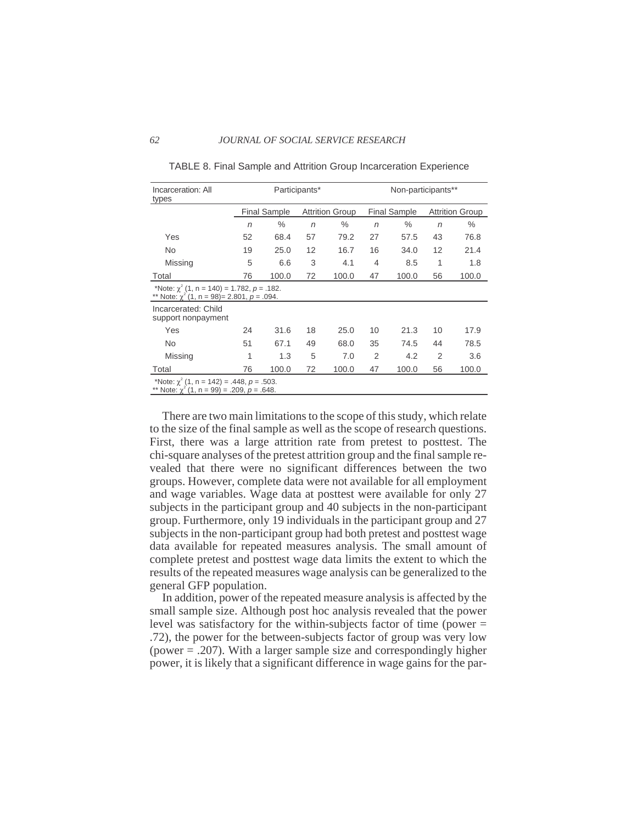| Incarceration: All<br>types                                                                           |    |                     | Participants* |                        |                | Non-participants**  |                |                        |
|-------------------------------------------------------------------------------------------------------|----|---------------------|---------------|------------------------|----------------|---------------------|----------------|------------------------|
|                                                                                                       |    | <b>Final Sample</b> |               | <b>Attrition Group</b> |                | <b>Final Sample</b> |                | <b>Attrition Group</b> |
|                                                                                                       | n  | $\%$                | n             | $\%$                   | n              | $\%$                | n              | $\%$                   |
| Yes                                                                                                   | 52 | 68.4                | 57            | 79.2                   | 27             | 57.5                | 43             | 76.8                   |
| <b>No</b>                                                                                             | 19 | 25.0                | 12            | 16.7                   | 16             | 34.0                | 12             | 21.4                   |
| Missing                                                                                               | 5  | 6.6                 | 3             | 4.1                    | 4              | 8.5                 | 1              | 1.8                    |
| Total                                                                                                 | 76 | 100.0               | 72            | 100.0                  | 47             | 100.0               | 56             | 100.0                  |
| *Note: $\gamma^2$ (1, n = 140) = 1.782, p = .182.<br>** Note: $\chi^2$ (1, n = 98) = 2.801, p = .094. |    |                     |               |                        |                |                     |                |                        |
| Incarcerated: Child<br>support nonpayment                                                             |    |                     |               |                        |                |                     |                |                        |
| Yes                                                                                                   | 24 | 31.6                | 18            | 25.0                   | 10             | 21.3                | 10             | 17.9                   |
| <b>No</b>                                                                                             | 51 | 67.1                | 49            | 68.0                   | 35             | 74.5                | 44             | 78.5                   |
| Missing                                                                                               | 1  | 1.3                 | 5             | 7.0                    | $\overline{2}$ | 4.2                 | $\overline{2}$ | 3.6                    |
| Total                                                                                                 | 76 | 100.0               | 72            | 100.0                  | 47             | 100.0               | 56             | 100.0                  |
| *Note: $\chi^2$ (1, n = 142) = .448, p = .503.<br>** Note: $\chi^2$ (1, n = 99) = .209, p = .648.     |    |                     |               |                        |                |                     |                |                        |

TABLE 8. Final Sample and Attrition Group Incarceration Experience

There are two main limitations to the scope of this study, which relate to the size of the final sample as well as the scope of research questions. First, there was a large attrition rate from pretest to posttest. The chi-square analyses of the pretest attrition group and the final sample revealed that there were no significant differences between the two groups. However, complete data were not available for all employment and wage variables. Wage data at posttest were available for only 27 subjects in the participant group and 40 subjects in the non-participant group. Furthermore, only 19 individuals in the participant group and 27 subjects in the non-participant group had both pretest and posttest wage data available for repeated measures analysis. The small amount of complete pretest and posttest wage data limits the extent to which the results of the repeated measures wage analysis can be generalized to the general GFP population.

In addition, power of the repeated measure analysis is affected by the small sample size. Although post hoc analysis revealed that the power level was satisfactory for the within-subjects factor of time (power = .72), the power for the between-subjects factor of group was very low (power = .207). With a larger sample size and correspondingly higher power, it is likely that a significant difference in wage gains for the par-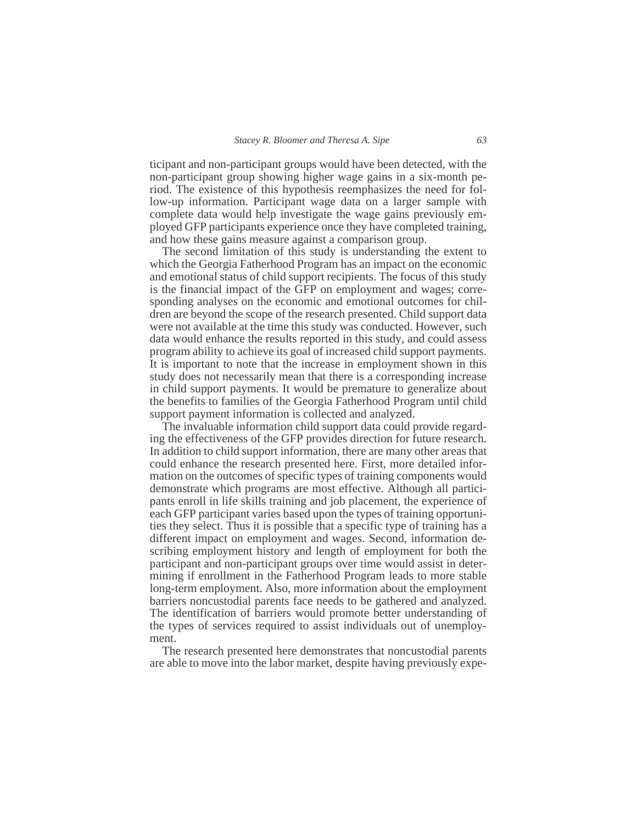ticipant and non-participant groups would have been detected, with the non-participant group showing higher wage gains in a six-month period. The existence of this hypothesis reemphasizes the need for follow-up information. Participant wage data on a larger sample with complete data would help investigate the wage gains previously employed GFP participants experience once they have completed training, and how these gains measure against a comparison group.

The second limitation of this study is understanding the extent to which the Georgia Fatherhood Program has an impact on the economic and emotional status of child support recipients. The focus of this study is the financial impact of the GFP on employment and wages; corresponding analyses on the economic and emotional outcomes for children are beyond the scope of the research presented. Child support data were not available at the time this study was conducted. However, such data would enhance the results reported in this study, and could assess program ability to achieve its goal of increased child support payments. It is important to note that the increase in employment shown in this study does not necessarily mean that there is a corresponding increase in child support payments. It would be premature to generalize about the benefits to families of the Georgia Fatherhood Program until child support payment information is collected and analyzed.

The invaluable information child support data could provide regarding the effectiveness of the GFP provides direction for future research. In addition to child support information, there are many other areas that could enhance the research presented here. First, more detailed information on the outcomes of specific types of training components would demonstrate which programs are most effective. Although all participants enroll in life skills training and job placement, the experience of each GFP participant varies based upon the types of training opportunities they select. Thus it is possible that a specific type of training has a different impact on employment and wages. Second, information describing employment history and length of employment for both the participant and non-participant groups over time would assist in determining if enrollment in the Fatherhood Program leads to more stable long-term employment. Also, more information about the employment barriers noncustodial parents face needs to be gathered and analyzed. The identification of barriers would promote better understanding of the types of services required to assist individuals out of unemployment.

The research presented here demonstrates that noncustodial parents are able to move into the labor market, despite having previously expe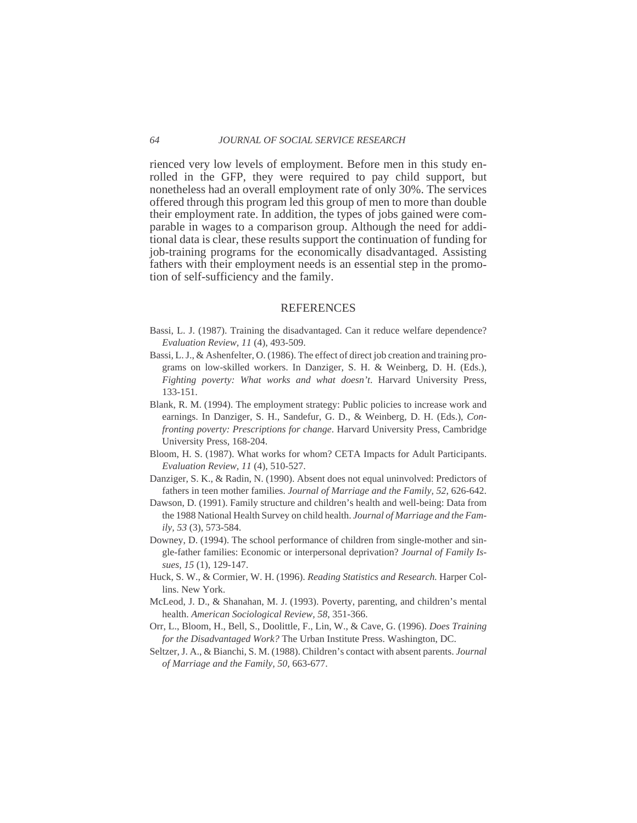rienced very low levels of employment. Before men in this study enrolled in the GFP, they were required to pay child support, but nonetheless had an overall employment rate of only 30%. The services offered through this program led this group of men to more than double their employment rate. In addition, the types of jobs gained were comparable in wages to a comparison group. Although the need for additional data is clear, these results support the continuation of funding for job-training programs for the economically disadvantaged. Assisting fathers with their employment needs is an essential step in the promotion of self-sufficiency and the family.

#### **REFERENCES**

- Bassi, L. J. (1987). Training the disadvantaged. Can it reduce welfare dependence? *Evaluation Review, 11* (4), 493-509.
- Bassi, L. J., & Ashenfelter, O. (1986). The effect of direct job creation and training programs on low-skilled workers. In Danziger, S. H. & Weinberg, D. H. (Eds.), *Fighting poverty: What works and what doesn't*. Harvard University Press, 133-151.
- Blank, R. M. (1994). The employment strategy: Public policies to increase work and earnings. In Danziger, S. H., Sandefur, G. D., & Weinberg, D. H. (Eds.), *Confronting poverty: Prescriptions for change*. Harvard University Press, Cambridge University Press, 168-204.
- Bloom, H. S. (1987). What works for whom? CETA Impacts for Adult Participants. *Evaluation Review, 11* (4), 510-527.
- Danziger, S. K., & Radin, N. (1990). Absent does not equal uninvolved: Predictors of fathers in teen mother families. *Journal of Marriage and the Family, 52*, 626-642.
- Dawson, D. (1991). Family structure and children's health and well-being: Data from the 1988 National Health Survey on child health. *Journal of Marriage and the Family, 53* (3), 573-584.
- Downey, D. (1994). The school performance of children from single-mother and single-father families: Economic or interpersonal deprivation? *Journal of Family Issues, 15* (1), 129-147.
- Huck, S. W., & Cormier, W. H. (1996). *Reading Statistics and Research.* Harper Collins. New York.
- McLeod, J. D., & Shanahan, M. J. (1993). Poverty, parenting, and children's mental health. *American Sociological Review, 58*, 351-366.
- Orr, L., Bloom, H., Bell, S., Doolittle, F., Lin, W., & Cave, G. (1996). *Does Training for the Disadvantaged Work?* The Urban Institute Press. Washington, DC.
- Seltzer, J. A., & Bianchi, S. M. (1988). Children's contact with absent parents. *Journal of Marriage and the Family, 50,* 663-677.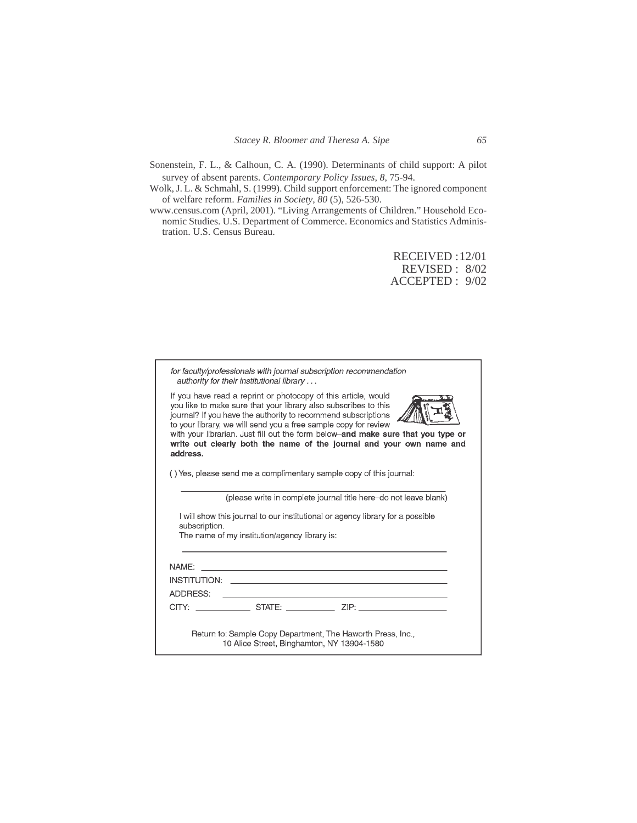- Sonenstein, F. L., & Calhoun, C. A. (1990). Determinants of child support: A pilot survey of absent parents. *Contemporary Policy Issues, 8*, 75-94.
- Wolk, J. L. & Schmahl, S. (1999). Child support enforcement: The ignored component of welfare reform. *Families in Society, 80* (5), 526-530.
- www.census.com (April, 2001). "Living Arrangements of Children." Household Economic Studies. U.S. Department of Commerce. Economics and Statistics Administration. U.S. Census Bureau.

RECEIVED :12/01 REVISED : 8/02 ACCEPTED : 9/02

|                   | authority for their institutional library     |                                                                                                                                                                                                                                                                                                                                                                                                                                   |
|-------------------|-----------------------------------------------|-----------------------------------------------------------------------------------------------------------------------------------------------------------------------------------------------------------------------------------------------------------------------------------------------------------------------------------------------------------------------------------------------------------------------------------|
| address.          |                                               | If you have read a reprint or photocopy of this article, would<br>you like to make sure that your library also subscribes to this<br>journal? If you have the authority to recommend subscriptions<br>to your library, we will send you a free sample copy for review<br>with your librarian. Just fill out the form below-and make sure that you type or<br>write out clearly both the name of the journal and your own name and |
|                   |                                               | () Yes, please send me a complimentary sample copy of this journal:                                                                                                                                                                                                                                                                                                                                                               |
|                   |                                               | (please write in complete journal title here-do not leave blank)                                                                                                                                                                                                                                                                                                                                                                  |
|                   |                                               |                                                                                                                                                                                                                                                                                                                                                                                                                                   |
|                   |                                               |                                                                                                                                                                                                                                                                                                                                                                                                                                   |
| subscription.     |                                               | I will show this journal to our institutional or agency library for a possible                                                                                                                                                                                                                                                                                                                                                    |
|                   | The name of my institution/agency library is: |                                                                                                                                                                                                                                                                                                                                                                                                                                   |
|                   |                                               |                                                                                                                                                                                                                                                                                                                                                                                                                                   |
|                   |                                               |                                                                                                                                                                                                                                                                                                                                                                                                                                   |
|                   |                                               | <b>INSTITUTION:</b> THE RESERVE TO A RESERVE THE RESERVE TO A RESERVE THE RESERVE TO A RESERVE THE RESERVE TO A RESERVE THAT A RESERVE THAT A RESERVE THAT A RESERVE THAT A RESERVE THAT A RESERVE THAT A RESERVE THAT A RESERVE TH                                                                                                                                                                                               |
|                   |                                               | the control of the control of the                                                                                                                                                                                                                                                                                                                                                                                                 |
| NAME:<br>ADDRESS: |                                               | CITY: STATE: ZIP: ZIP:                                                                                                                                                                                                                                                                                                                                                                                                            |
|                   |                                               |                                                                                                                                                                                                                                                                                                                                                                                                                                   |
|                   |                                               | Return to: Sample Copy Department, The Haworth Press, Inc.,                                                                                                                                                                                                                                                                                                                                                                       |